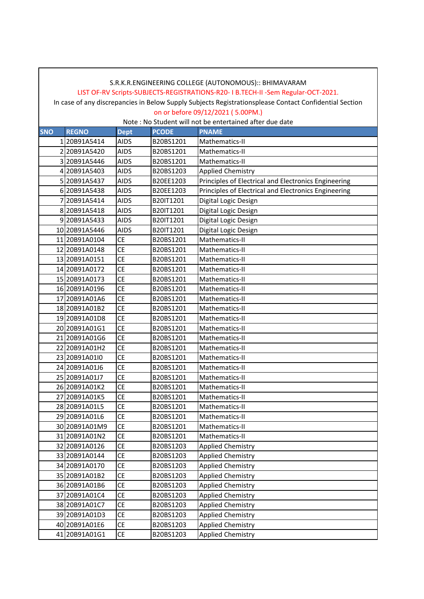# LIST OF-RV Scripts-SUBJECTS-REGISTRATIONS-R20- I B.TECH-II -Sem Regular-OCT-2021.

In case of any discrepancies in Below Supply Subjects Registrationsplease Contact Confidential Section on or before 09/12/2021 ( 5.00PM.)

| <b>SNO</b> | <b>REGNO</b>  | <b>Dept</b> | <b>PCODE</b> | <b>PNAME</b>                                         |
|------------|---------------|-------------|--------------|------------------------------------------------------|
|            | 120B91A5414   | <b>AIDS</b> | B20BS1201    | Mathematics-II                                       |
|            | 220B91A5420   | <b>AIDS</b> | B20BS1201    | Mathematics-II                                       |
|            | 3 20B91A5446  | <b>AIDS</b> | B20BS1201    | Mathematics-II                                       |
|            | 4 20B91A5403  | <b>AIDS</b> | B20BS1203    | <b>Applied Chemistry</b>                             |
|            | 5 20B91A5437  | <b>AIDS</b> | B20EE1203    | Principles of Electrical and Electronics Engineering |
|            | 6 20B91A5438  | <b>AIDS</b> | B20EE1203    | Principles of Electrical and Electronics Engineering |
|            | 7 20B91A5414  | <b>AIDS</b> | B20IT1201    | Digital Logic Design                                 |
|            | 8 20B91A5418  | <b>AIDS</b> | B20IT1201    | Digital Logic Design                                 |
|            | 9 20B91A5433  | <b>AIDS</b> | B20IT1201    | Digital Logic Design                                 |
|            | 10 20B91A5446 | <b>AIDS</b> | B20IT1201    | Digital Logic Design                                 |
|            | 11 20B91A0104 | <b>CE</b>   | B20BS1201    | Mathematics-II                                       |
|            | 12 20B91A0148 | <b>CE</b>   | B20BS1201    | Mathematics-II                                       |
|            | 13 20B91A0151 | <b>CE</b>   | B20BS1201    | Mathematics-II                                       |
|            | 14 20B91A0172 | <b>CE</b>   | B20BS1201    | Mathematics-II                                       |
|            | 15 20B91A0173 | <b>CE</b>   | B20BS1201    | Mathematics-II                                       |
|            | 16 20B91A0196 | <b>CE</b>   | B20BS1201    | Mathematics-II                                       |
|            | 17 20B91A01A6 | <b>CE</b>   | B20BS1201    | Mathematics-II                                       |
|            | 18 20B91A01B2 | <b>CE</b>   | B20BS1201    | Mathematics-II                                       |
|            | 19 20B91A01D8 | <b>CE</b>   | B20BS1201    | Mathematics-II                                       |
|            | 20 20B91A01G1 | <b>CE</b>   | B20BS1201    | Mathematics-II                                       |
|            | 21 20B91A01G6 | <b>CE</b>   | B20BS1201    | Mathematics-II                                       |
|            | 22 20B91A01H2 | <b>CE</b>   | B20BS1201    | Mathematics-II                                       |
|            | 23 20B91A01I0 | <b>CE</b>   | B20BS1201    | Mathematics-II                                       |
|            | 24 20B91A01J6 | <b>CE</b>   | B20BS1201    | Mathematics-II                                       |
|            | 25 20B91A01J7 | <b>CE</b>   | B20BS1201    | Mathematics-II                                       |
|            | 26 20B91A01K2 | <b>CE</b>   | B20BS1201    | Mathematics-II                                       |
|            | 27 20B91A01K5 | <b>CE</b>   | B20BS1201    | Mathematics-II                                       |
|            | 28 20B91A01L5 | <b>CE</b>   | B20BS1201    | Mathematics-II                                       |
|            | 29 20B91A01L6 | <b>CE</b>   | B20BS1201    | Mathematics-II                                       |
|            | 30 20B91A01M9 | <b>CE</b>   | B20BS1201    | Mathematics-II                                       |
|            | 31 20B91A01N2 | <b>CE</b>   | B20BS1201    | Mathematics-II                                       |
|            | 32 20B91A0126 | СE          | B20BS1203    | Applied Chemistry                                    |
|            | 33 20B91A0144 | CE          | B20BS1203    | <b>Applied Chemistry</b>                             |
|            | 34 20B91A0170 | CE          | B20BS1203    | <b>Applied Chemistry</b>                             |
|            | 35 20B91A01B2 | <b>CE</b>   | B20BS1203    | <b>Applied Chemistry</b>                             |
|            | 36 20B91A01B6 | <b>CE</b>   | B20BS1203    | <b>Applied Chemistry</b>                             |
|            | 37 20B91A01C4 | CE          | B20BS1203    | <b>Applied Chemistry</b>                             |
|            | 38 20B91A01C7 | СE          | B20BS1203    | <b>Applied Chemistry</b>                             |
|            | 39 20B91A01D3 | CE          | B20BS1203    | <b>Applied Chemistry</b>                             |
|            | 40 20B91A01E6 | <b>CE</b>   | B20BS1203    | <b>Applied Chemistry</b>                             |
|            | 41 20B91A01G1 | CE          | B20BS1203    | <b>Applied Chemistry</b>                             |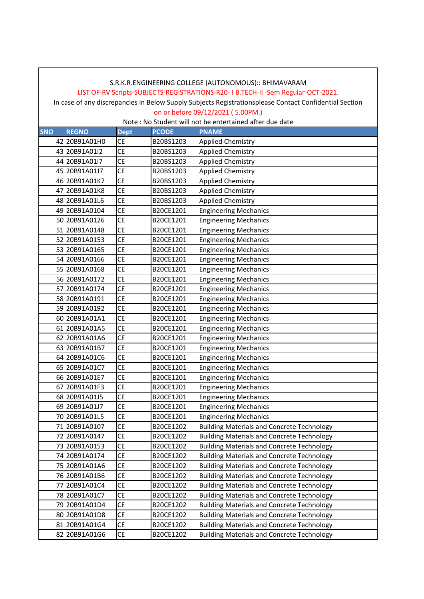#### LIST OF-RV Scripts-SUBJECTS-REGISTRATIONS-R20- I B.TECH-II -Sem Regular-OCT-2021.

In case of any discrepancies in Below Supply Subjects Registrationsplease Contact Confidential Section on or before 09/12/2021 ( 5.00PM.)

| <b>SNO</b> | <b>REGNO</b>  | <b>Dept</b>     | <b>PCODE</b> | <b>PNAME</b>                                      |
|------------|---------------|-----------------|--------------|---------------------------------------------------|
|            | 42 20B91A01H0 | <b>CE</b>       | B20BS1203    | <b>Applied Chemistry</b>                          |
|            | 43 20B91A0112 | СE              | B20BS1203    | <b>Applied Chemistry</b>                          |
|            | 44 20B91A0117 | <b>CE</b>       | B20BS1203    | <b>Applied Chemistry</b>                          |
|            | 45 20B91A01J7 | <b>CE</b>       | B20BS1203    | <b>Applied Chemistry</b>                          |
|            | 46 20B91A01K7 | <b>CE</b>       | B20BS1203    | <b>Applied Chemistry</b>                          |
|            | 47 20B91A01K8 | <b>CE</b>       | B20BS1203    | <b>Applied Chemistry</b>                          |
|            | 48 20B91A01L6 | <b>CE</b>       | B20BS1203    | <b>Applied Chemistry</b>                          |
|            | 49 20B91A0104 | <b>CE</b>       | B20CE1201    | <b>Engineering Mechanics</b>                      |
|            | 50 20B91A0126 | <b>CE</b>       | B20CE1201    | <b>Engineering Mechanics</b>                      |
|            | 51 20B91A0148 | <b>CE</b>       | B20CE1201    | <b>Engineering Mechanics</b>                      |
|            | 52 20B91A0153 | <b>CE</b>       | B20CE1201    | <b>Engineering Mechanics</b>                      |
|            | 53 20B91A0165 | <b>CE</b>       | B20CE1201    | <b>Engineering Mechanics</b>                      |
|            | 54 20B91A0166 | <b>CE</b>       | B20CE1201    | <b>Engineering Mechanics</b>                      |
|            | 55 20B91A0168 | <b>CE</b>       | B20CE1201    | <b>Engineering Mechanics</b>                      |
|            | 56 20B91A0172 | <b>CE</b>       | B20CE1201    | <b>Engineering Mechanics</b>                      |
|            | 57 20B91A0174 | <b>CE</b>       | B20CE1201    | <b>Engineering Mechanics</b>                      |
|            | 58 20B91A0191 | <b>CE</b>       | B20CE1201    | <b>Engineering Mechanics</b>                      |
|            | 59 20B91A0192 | <b>CE</b>       | B20CE1201    | <b>Engineering Mechanics</b>                      |
|            | 60 20B91A01A1 | <b>CE</b>       | B20CE1201    | <b>Engineering Mechanics</b>                      |
|            | 61 20B91A01A5 | <b>CE</b>       | B20CE1201    | <b>Engineering Mechanics</b>                      |
|            | 62 20B91A01A6 | <b>CE</b>       | B20CE1201    | <b>Engineering Mechanics</b>                      |
|            | 63 20B91A01B7 | <b>CE</b>       | B20CE1201    | <b>Engineering Mechanics</b>                      |
|            | 64 20B91A01C6 | <b>CE</b>       | B20CE1201    | <b>Engineering Mechanics</b>                      |
|            | 65 20B91A01C7 | <b>CE</b>       | B20CE1201    | <b>Engineering Mechanics</b>                      |
|            | 66 20B91A01E7 | <b>CE</b>       | B20CE1201    | <b>Engineering Mechanics</b>                      |
|            | 67 20B91A01F3 | <b>CE</b>       | B20CE1201    | <b>Engineering Mechanics</b>                      |
|            | 68 20B91A01J5 | <b>CE</b>       | B20CE1201    | <b>Engineering Mechanics</b>                      |
|            | 69 20B91A01J7 | <b>CE</b>       | B20CE1201    | <b>Engineering Mechanics</b>                      |
|            | 70 20B91A01L5 | <b>CE</b>       | B20CE1201    | <b>Engineering Mechanics</b>                      |
|            | 71 20B91A0107 | <b>CE</b>       | B20CE1202    | <b>Building Materials and Concrete Technology</b> |
|            | 72 20B91A0147 | <b>CE</b>       | B20CE1202    | <b>Building Materials and Concrete Technology</b> |
|            | 73 20B91A0153 | $\overline{CE}$ | B20CE1202    | <b>Building Materials and Concrete Technology</b> |
|            | 74 20B91A0174 | <b>CE</b>       | B20CE1202    | <b>Building Materials and Concrete Technology</b> |
|            | 75 20B91A01A6 | <b>CE</b>       | B20CE1202    | <b>Building Materials and Concrete Technology</b> |
|            | 76 20B91A01B6 | <b>CE</b>       | B20CE1202    | <b>Building Materials and Concrete Technology</b> |
|            | 77 20B91A01C4 | <b>CE</b>       | B20CE1202    | <b>Building Materials and Concrete Technology</b> |
|            | 78 20B91A01C7 | <b>CE</b>       | B20CE1202    | <b>Building Materials and Concrete Technology</b> |
|            | 79 20B91A01D4 | <b>CE</b>       | B20CE1202    | <b>Building Materials and Concrete Technology</b> |
|            | 80 20B91A01D8 | <b>CE</b>       | B20CE1202    | <b>Building Materials and Concrete Technology</b> |
|            | 81 20B91A01G4 | <b>CE</b>       | B20CE1202    | <b>Building Materials and Concrete Technology</b> |
|            | 82 20B91A01G6 | CE              | B20CE1202    | <b>Building Materials and Concrete Technology</b> |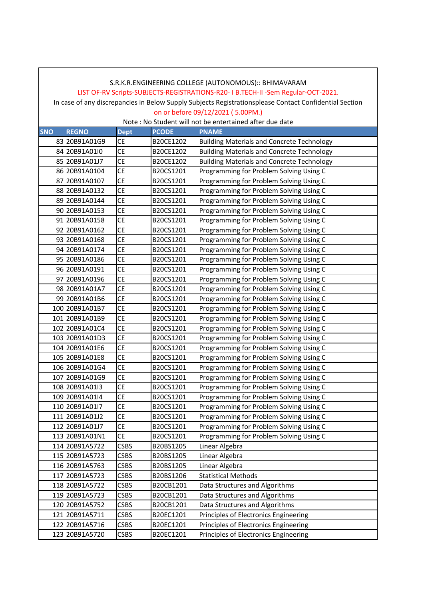### LIST OF-RV Scripts-SUBJECTS-REGISTRATIONS-R20- I B.TECH-II -Sem Regular-OCT-2021.

In case of any discrepancies in Below Supply Subjects Registrationsplease Contact Confidential Section on or before 09/12/2021 ( 5.00PM.)

| <b>SNO</b> | <b>REGNO</b>   | <b>Dept</b> | <b>PCODE</b> | <b>PNAME</b>                                      |
|------------|----------------|-------------|--------------|---------------------------------------------------|
|            | 83 20B91A01G9  | <b>CE</b>   | B20CE1202    | <b>Building Materials and Concrete Technology</b> |
|            | 84 20B91A01I0  | <b>CE</b>   | B20CE1202    | <b>Building Materials and Concrete Technology</b> |
|            | 85 20B91A01J7  | <b>CE</b>   | B20CE1202    | <b>Building Materials and Concrete Technology</b> |
|            | 86 20B91A0104  | СE          | B20CS1201    | Programming for Problem Solving Using C           |
|            | 87 20B91A0107  | <b>CE</b>   | B20CS1201    | Programming for Problem Solving Using C           |
|            | 88 20B91A0132  | <b>CE</b>   | B20CS1201    | Programming for Problem Solving Using C           |
|            | 89 20B91A0144  | <b>CE</b>   | B20CS1201    | Programming for Problem Solving Using C           |
|            | 90 20B91A0153  | <b>CE</b>   | B20CS1201    | Programming for Problem Solving Using C           |
|            | 91 20B91A0158  | <b>CE</b>   | B20CS1201    | Programming for Problem Solving Using C           |
|            | 92 20B91A0162  | CE          | B20CS1201    | Programming for Problem Solving Using C           |
|            | 93 20B91A0168  | СE          | B20CS1201    | Programming for Problem Solving Using C           |
|            | 94 20B91A0174  | <b>CE</b>   | B20CS1201    | Programming for Problem Solving Using C           |
|            | 95 20B91A0186  | <b>CE</b>   | B20CS1201    | Programming for Problem Solving Using C           |
|            | 96 20B91A0191  | <b>CE</b>   | B20CS1201    | Programming for Problem Solving Using C           |
|            | 97 20B91A0196  | <b>CE</b>   | B20CS1201    | Programming for Problem Solving Using C           |
|            | 98 20B91A01A7  | <b>CE</b>   | B20CS1201    | Programming for Problem Solving Using C           |
|            | 99 20B91A01B6  | CE          | B20CS1201    | Programming for Problem Solving Using C           |
|            | 100 20B91A01B7 | <b>CE</b>   | B20CS1201    | Programming for Problem Solving Using C           |
|            | 101 20B91A01B9 | <b>CE</b>   | B20CS1201    | Programming for Problem Solving Using C           |
|            | 102 20B91A01C4 | <b>CE</b>   | B20CS1201    | Programming for Problem Solving Using C           |
|            | 103 20B91A01D3 | <b>CE</b>   | B20CS1201    | Programming for Problem Solving Using C           |
|            | 104 20B91A01E6 | <b>CE</b>   | B20CS1201    | Programming for Problem Solving Using C           |
|            | 105 20B91A01E8 | <b>CE</b>   | B20CS1201    | Programming for Problem Solving Using C           |
|            | 106 20B91A01G4 | <b>CE</b>   | B20CS1201    | Programming for Problem Solving Using C           |
|            | 107 20B91A01G9 | <b>CE</b>   | B20CS1201    | Programming for Problem Solving Using C           |
|            | 108 20B91A01I3 | <b>CE</b>   | B20CS1201    | Programming for Problem Solving Using C           |
|            | 109 20B91A01I4 | <b>CE</b>   | B20CS1201    | Programming for Problem Solving Using C           |
|            | 110 20B91A0117 | <b>CE</b>   | B20CS1201    | Programming for Problem Solving Using C           |
|            | 111 20B91A01J2 | <b>CE</b>   | B20CS1201    | Programming for Problem Solving Using C           |
|            | 112 20B91A01J7 | CE          | B20CS1201    | Programming for Problem Solving Using C           |
|            | 113 20B91A01N1 | <b>CE</b>   | B20CS1201    | Programming for Problem Solving Using C           |
|            | 114 20B91A5722 | <b>CSBS</b> | B20BS1205    | Linear Algebra                                    |
|            | 115 20B91A5723 | <b>CSBS</b> | B20BS1205    | Linear Algebra                                    |
|            | 116 20B91A5763 | <b>CSBS</b> | B20BS1205    | Linear Algebra                                    |
|            | 117 20B91A5723 | <b>CSBS</b> | B20BS1206    | <b>Statistical Methods</b>                        |
|            | 118 20B91A5722 | <b>CSBS</b> | B20CB1201    | Data Structures and Algorithms                    |
|            | 119 20B91A5723 | <b>CSBS</b> | B20CB1201    | Data Structures and Algorithms                    |
|            | 120 20B91A5752 | <b>CSBS</b> | B20CB1201    | Data Structures and Algorithms                    |
|            | 121 20B91A5711 | <b>CSBS</b> | B20EC1201    | Principles of Electronics Engineering             |
|            | 122 20B91A5716 | <b>CSBS</b> | B20EC1201    | Principles of Electronics Engineering             |
|            | 123 20B91A5720 | <b>CSBS</b> | B20EC1201    | Principles of Electronics Engineering             |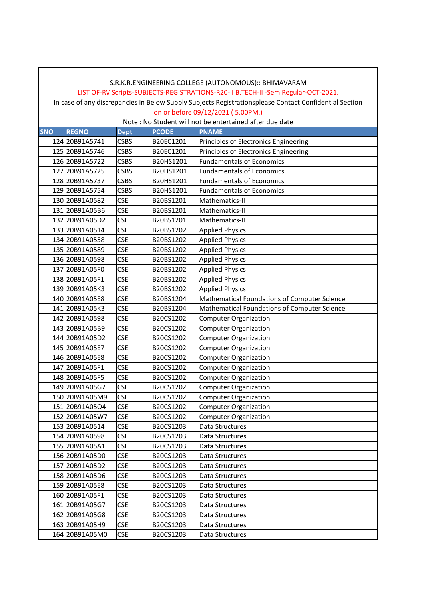## S.R.K.R.ENGINEERING COLLEGE (AUTONOMOUS):: BHIMAVARAM LIST OF-RV Scripts-SUBJECTS-REGISTRATIONS-R20- I B.TECH-II -Sem Regular-OCT-2021.

In case of any discrepancies in Below Supply Subjects Registrationsplease Contact Confidential Section on or before 09/12/2021 ( 5.00PM.)

| <b>SNO</b> | <b>REGNO</b>   | <b>Dept</b> | <b>PCODE</b> | <b>PNAME</b>                                 |
|------------|----------------|-------------|--------------|----------------------------------------------|
|            | 124 20B91A5741 | <b>CSBS</b> | B20EC1201    | Principles of Electronics Engineering        |
|            | 125 20B91A5746 | <b>CSBS</b> | B20EC1201    | Principles of Electronics Engineering        |
|            | 126 20B91A5722 | <b>CSBS</b> | B20HS1201    | <b>Fundamentals of Economics</b>             |
|            | 127 20B91A5725 | <b>CSBS</b> | B20HS1201    | <b>Fundamentals of Economics</b>             |
|            | 128 20B91A5737 | <b>CSBS</b> | B20HS1201    | <b>Fundamentals of Economics</b>             |
|            | 129 20B91A5754 | <b>CSBS</b> | B20HS1201    | <b>Fundamentals of Economics</b>             |
|            | 130 20B91A0582 | <b>CSE</b>  | B20BS1201    | Mathematics-II                               |
|            | 131 20B91A05B6 | <b>CSE</b>  | B20BS1201    | Mathematics-II                               |
|            | 132 20B91A05D2 | <b>CSE</b>  | B20BS1201    | Mathematics-II                               |
|            | 133 20B91A0514 | <b>CSE</b>  | B20BS1202    | <b>Applied Physics</b>                       |
|            | 134 20B91A0558 | <b>CSE</b>  | B20BS1202    | <b>Applied Physics</b>                       |
|            | 135 20B91A0589 | <b>CSE</b>  | B20BS1202    | <b>Applied Physics</b>                       |
|            | 136 20B91A0598 | <b>CSE</b>  | B20BS1202    | <b>Applied Physics</b>                       |
|            | 137 20B91A05F0 | <b>CSE</b>  | B20BS1202    | <b>Applied Physics</b>                       |
|            | 138 20B91A05F1 | <b>CSE</b>  | B20BS1202    | <b>Applied Physics</b>                       |
|            | 139 20B91A05K3 | <b>CSE</b>  | B20BS1202    | <b>Applied Physics</b>                       |
|            | 140 20B91A05E8 | <b>CSE</b>  | B20BS1204    | Mathematical Foundations of Computer Science |
|            | 141 20B91A05K3 | <b>CSE</b>  | B20BS1204    | Mathematical Foundations of Computer Science |
|            | 142 20B91A0598 | <b>CSE</b>  | B20CS1202    | <b>Computer Organization</b>                 |
|            | 143 20B91A05B9 | <b>CSE</b>  | B20CS1202    | <b>Computer Organization</b>                 |
|            | 144 20B91A05D2 | <b>CSE</b>  | B20CS1202    | <b>Computer Organization</b>                 |
|            | 145 20B91A05E7 | <b>CSE</b>  | B20CS1202    | <b>Computer Organization</b>                 |
|            | 146 20B91A05E8 | <b>CSE</b>  | B20CS1202    | <b>Computer Organization</b>                 |
|            | 147 20B91A05F1 | <b>CSE</b>  | B20CS1202    | <b>Computer Organization</b>                 |
|            | 148 20B91A05F5 | <b>CSE</b>  | B20CS1202    | <b>Computer Organization</b>                 |
|            | 149 20B91A05G7 | <b>CSE</b>  | B20CS1202    | <b>Computer Organization</b>                 |
|            | 150 20B91A05M9 | <b>CSE</b>  | B20CS1202    | <b>Computer Organization</b>                 |
|            | 151 20B91A05Q4 | <b>CSE</b>  | B20CS1202    | <b>Computer Organization</b>                 |
|            | 152 20B91A05W7 | <b>CSE</b>  | B20CS1202    | <b>Computer Organization</b>                 |
|            | 153 20B91A0514 | <b>CSE</b>  | B20CS1203    | Data Structures                              |
|            | 154 20B91A0598 | <b>CSE</b>  | B20CS1203    | Data Structures                              |
|            | 155 20B91A05A1 | <b>CSE</b>  | B20CS1203    | Data Structures                              |
|            | 156 20B91A05D0 | <b>CSE</b>  | B20CS1203    | Data Structures                              |
|            | 157 20B91A05D2 | <b>CSE</b>  | B20CS1203    | Data Structures                              |
|            | 158 20891A05D6 | <b>CSE</b>  | B20CS1203    | Data Structures                              |
|            | 159 20B91A05E8 | <b>CSE</b>  | B20CS1203    | Data Structures                              |
|            | 160 20B91A05F1 | <b>CSE</b>  | B20CS1203    | Data Structures                              |
|            | 161 20B91A05G7 | <b>CSE</b>  | B20CS1203    | Data Structures                              |
|            | 162 20B91A05G8 | <b>CSE</b>  | B20CS1203    | Data Structures                              |
|            | 163 20B91A05H9 | <b>CSE</b>  | B20CS1203    | Data Structures                              |
|            | 164 20B91A05M0 | <b>CSE</b>  | B20CS1203    | Data Structures                              |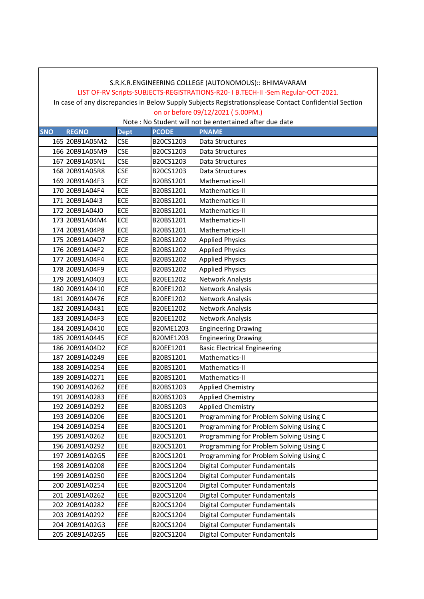#### LIST OF-RV Scripts-SUBJECTS-REGISTRATIONS-R20- I B.TECH-II -Sem Regular-OCT-2021.

In case of any discrepancies in Below Supply Subjects Registrationsplease Contact Confidential Section on or before 09/12/2021 ( 5.00PM.)

| <b>SNO</b> | <b>REGNO</b>   | <b>Dept</b> | <b>PCODE</b> | <b>PNAME</b>                            |
|------------|----------------|-------------|--------------|-----------------------------------------|
|            | 165 20B91A05M2 | <b>CSE</b>  | B20CS1203    | Data Structures                         |
|            | 166 20B91A05M9 | <b>CSE</b>  | B20CS1203    | Data Structures                         |
|            | 167 20B91A05N1 | <b>CSE</b>  | B20CS1203    | Data Structures                         |
|            | 168 20B91A05R8 | <b>CSE</b>  | B20CS1203    | Data Structures                         |
|            | 169 20B91A04F3 | ECE         | B20BS1201    | Mathematics-II                          |
|            | 170 20B91A04F4 | ECE         | B20BS1201    | Mathematics-II                          |
|            | 171 20B91A04I3 | ECE         | B20BS1201    | Mathematics-II                          |
|            | 172 20B91A04J0 | ECE         | B20BS1201    | Mathematics-II                          |
|            | 173 20B91A04M4 | ECE         | B20BS1201    | Mathematics-II                          |
|            | 174 20B91A04P8 | ECE         | B20BS1201    | Mathematics-II                          |
|            | 175 20B91A04D7 | <b>ECE</b>  | B20BS1202    | <b>Applied Physics</b>                  |
|            | 176 20B91A04F2 | <b>ECE</b>  | B20BS1202    | <b>Applied Physics</b>                  |
|            | 177 20B91A04F4 | ECE         | B20BS1202    | <b>Applied Physics</b>                  |
|            | 178 20B91A04F9 | <b>ECE</b>  | B20BS1202    | <b>Applied Physics</b>                  |
|            | 179 20B91A0403 | ECE         | B20EE1202    | <b>Network Analysis</b>                 |
|            | 180 20B91A0410 | ECE         | B20EE1202    | Network Analysis                        |
|            | 181 20B91A0476 | ECE         | B20EE1202    | Network Analysis                        |
|            | 182 20B91A0481 | <b>ECE</b>  | B20EE1202    | <b>Network Analysis</b>                 |
|            | 183 20B91A04F3 | <b>ECE</b>  | B20EE1202    | Network Analysis                        |
|            | 184 20B91A0410 | <b>ECE</b>  | B20ME1203    | <b>Engineering Drawing</b>              |
|            | 185 20B91A0445 | ECE         | B20ME1203    | <b>Engineering Drawing</b>              |
|            | 186 20B91A04D2 | ECE         | B20EE1201    | <b>Basic Electrical Engineering</b>     |
|            | 187 20B91A0249 | EEE         | B20BS1201    | Mathematics-II                          |
|            | 188 20B91A0254 | EEE         | B20BS1201    | Mathematics-II                          |
|            | 189 20B91A0271 | EEE         | B20BS1201    | Mathematics-II                          |
|            | 190 20B91A0262 | EEE         | B20BS1203    | <b>Applied Chemistry</b>                |
|            | 191 20B91A0283 | EEE         | B20BS1203    | <b>Applied Chemistry</b>                |
|            | 192 20B91A0292 | EEE         | B20BS1203    | <b>Applied Chemistry</b>                |
|            | 193 20B91A0206 | EEE         | B20CS1201    | Programming for Problem Solving Using C |
|            | 194 20B91A0254 | EEE         | B20CS1201    | Programming for Problem Solving Using C |
|            | 195 20B91A0262 | EEE         | B20CS1201    | Programming for Problem Solving Using C |
|            | 196 20B91A0292 | EEE         | B20CS1201    | Programming for Problem Solving Using C |
|            | 197 20B91A02G5 | EEE         | B20CS1201    | Programming for Problem Solving Using C |
|            | 198 20B91A0208 | EEE         | B20CS1204    | Digital Computer Fundamentals           |
|            | 199 20B91A0250 | EEE         | B20CS1204    | Digital Computer Fundamentals           |
|            | 200 20B91A0254 | EEE         | B20CS1204    | Digital Computer Fundamentals           |
|            | 201 20B91A0262 | EEE         | B20CS1204    | Digital Computer Fundamentals           |
|            | 202 20B91A0282 | EEE         | B20CS1204    | Digital Computer Fundamentals           |
|            | 203 20B91A0292 | EEE         | B20CS1204    | Digital Computer Fundamentals           |
|            | 204 20B91A02G3 | EEE         | B20CS1204    | Digital Computer Fundamentals           |
|            | 205 20B91A02G5 | EEE         | B20CS1204    | Digital Computer Fundamentals           |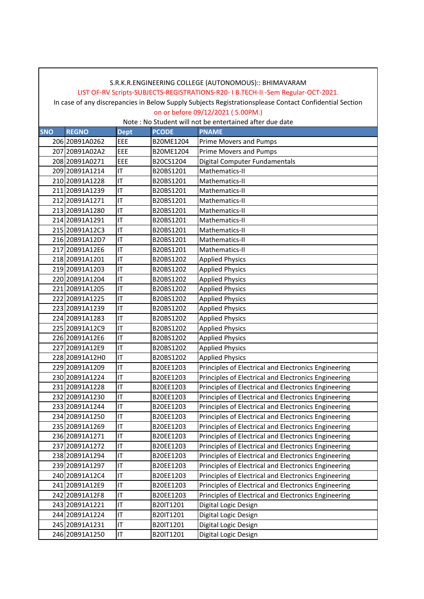#### LIST OF-RV Scripts-SUBJECTS-REGISTRATIONS-R20- I B.TECH-II -Sem Regular-OCT-2021.

In case of any discrepancies in Below Supply Subjects Registrationsplease Contact Confidential Section on or before 09/12/2021 ( 5.00PM.)

| <b>SNO</b> | <b>REGNO</b>   | <b>Dept</b> | <b>PCODE</b> | <b>PNAME</b>                                         |
|------------|----------------|-------------|--------------|------------------------------------------------------|
|            | 206 20B91A0262 | EEE         | B20ME1204    | Prime Movers and Pumps                               |
|            | 207 20B91A02A2 | EEE         | B20ME1204    | <b>Prime Movers and Pumps</b>                        |
|            | 208 20B91A0271 | EEE         | B20CS1204    | Digital Computer Fundamentals                        |
|            | 209 20B91A1214 | ΙT          | B20BS1201    | Mathematics-II                                       |
|            | 210 20B91A1228 | ΙT          | B20BS1201    | Mathematics-II                                       |
|            | 211 20B91A1239 | ΙT          | B20BS1201    | Mathematics-II                                       |
|            | 212 20B91A1271 | ΙT          | B20BS1201    | Mathematics-II                                       |
|            | 213 20B91A1280 | ΙT          | B20BS1201    | Mathematics-II                                       |
|            | 214 20B91A1291 | ΙT          | B20BS1201    | Mathematics-II                                       |
|            | 215 20B91A12C3 | IT          | B20BS1201    | Mathematics-II                                       |
|            | 216 20B91A12D7 | ΙT          | B20BS1201    | Mathematics-II                                       |
|            | 217 20B91A12E6 | ΙT          | B20BS1201    | Mathematics-II                                       |
|            | 218 20B91A1201 | IT          | B20BS1202    | <b>Applied Physics</b>                               |
|            | 219 20B91A1203 | ΙT          | B20BS1202    | <b>Applied Physics</b>                               |
|            | 220 20B91A1204 | ΙT          | B20BS1202    | <b>Applied Physics</b>                               |
|            | 221 20B91A1205 | ΙT          | B20BS1202    | <b>Applied Physics</b>                               |
|            | 222 20B91A1225 | ΙT          | B20BS1202    | <b>Applied Physics</b>                               |
|            | 223 20B91A1239 | ΙT          | B20BS1202    | <b>Applied Physics</b>                               |
|            | 224 20B91A1283 | ΙT          | B20BS1202    | <b>Applied Physics</b>                               |
|            | 225 20B91A12C9 | ΙT          | B20BS1202    | <b>Applied Physics</b>                               |
|            | 226 20B91A12E6 | ΙT          | B20BS1202    | <b>Applied Physics</b>                               |
|            | 227 20B91A12E9 | ΙT          | B20BS1202    | <b>Applied Physics</b>                               |
|            | 228 20B91A12H0 | IT          | B20BS1202    | <b>Applied Physics</b>                               |
|            | 229 20B91A1209 | ΙT          | B20EE1203    | Principles of Electrical and Electronics Engineering |
|            | 230 20B91A1224 | ΙT          | B20EE1203    | Principles of Electrical and Electronics Engineering |
|            | 231 20B91A1228 | ΙT          | B20EE1203    | Principles of Electrical and Electronics Engineering |
|            | 232 20B91A1230 | ΙT          | B20EE1203    | Principles of Electrical and Electronics Engineering |
|            | 233 20B91A1244 | ΙT          | B20EE1203    | Principles of Electrical and Electronics Engineering |
|            | 234 20B91A1250 | ΙT          | B20EE1203    | Principles of Electrical and Electronics Engineering |
|            | 235 20B91A1269 | ΙT          | B20EE1203    | Principles of Electrical and Electronics Engineering |
|            | 236 20B91A1271 | ΙT          | B20EE1203    | Principles of Electrical and Electronics Engineering |
|            | 237 20B91A1272 | IT          | B20EE1203    | Principles of Electrical and Electronics Engineering |
|            | 238 20B91A1294 | ΙT          | B20EE1203    | Principles of Electrical and Electronics Engineering |
|            | 239 20B91A1297 | ΙT          | B20EE1203    | Principles of Electrical and Electronics Engineering |
|            | 240 20B91A12C4 | ΙT          | B20EE1203    | Principles of Electrical and Electronics Engineering |
|            | 241 20B91A12E9 | ΙT          | B20EE1203    | Principles of Electrical and Electronics Engineering |
|            | 242 20B91A12F8 | ΙT          | B20EE1203    | Principles of Electrical and Electronics Engineering |
|            | 243 20B91A1221 | IT          | B20IT1201    | Digital Logic Design                                 |
|            | 244 20B91A1224 | ΙT          | B20IT1201    | Digital Logic Design                                 |
|            | 245 20B91A1231 | ΙT          | B20IT1201    | Digital Logic Design                                 |
|            | 246 20B91A1250 | IT          | B20IT1201    | Digital Logic Design                                 |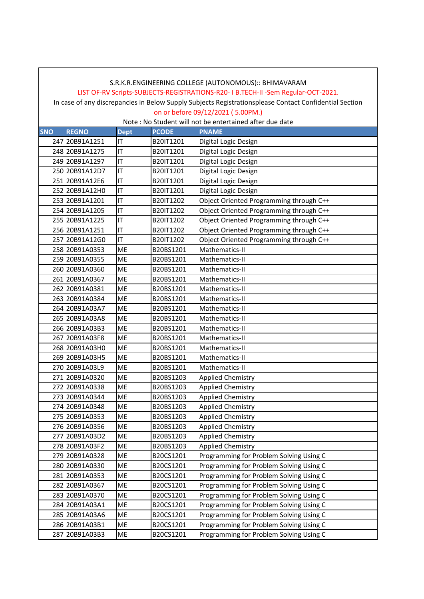#### LIST OF-RV Scripts-SUBJECTS-REGISTRATIONS-R20- I B.TECH-II -Sem Regular-OCT-2021.

In case of any discrepancies in Below Supply Subjects Registrationsplease Contact Confidential Section on or before 09/12/2021 ( 5.00PM.)

| <b>SNO</b> | <b>REGNO</b>   | <b>Dept</b> | <b>PCODE</b> | <b>PNAME</b>                            |
|------------|----------------|-------------|--------------|-----------------------------------------|
|            | 247 20B91A1251 | IT          | B20IT1201    | Digital Logic Design                    |
|            | 248 20B91A1275 | IT          | B20IT1201    | Digital Logic Design                    |
|            | 249 20B91A1297 | IT          | B20IT1201    | Digital Logic Design                    |
|            | 250 20B91A12D7 | IT          | B20IT1201    | Digital Logic Design                    |
|            | 251 20B91A12E6 | IT          | B20IT1201    | Digital Logic Design                    |
|            | 252 20B91A12H0 | IT          | B20IT1201    | Digital Logic Design                    |
|            | 253 20B91A1201 | IT          | B20IT1202    | Object Oriented Programming through C++ |
|            | 254 20B91A1205 | IT          | B20IT1202    | Object Oriented Programming through C++ |
|            | 255 20B91A1225 | IT          | B20IT1202    | Object Oriented Programming through C++ |
|            | 256 20B91A1251 | IT          | B20IT1202    | Object Oriented Programming through C++ |
|            | 257 20B91A12G0 | IT          | B20IT1202    | Object Oriented Programming through C++ |
|            | 258 20B91A0353 | <b>ME</b>   | B20BS1201    | Mathematics-II                          |
|            | 259 20B91A0355 | <b>ME</b>   | B20BS1201    | Mathematics-II                          |
|            | 260 20B91A0360 | <b>ME</b>   | B20BS1201    | Mathematics-II                          |
|            | 261 20B91A0367 | ME          | B20BS1201    | Mathematics-II                          |
|            | 262 20B91A0381 | ME          | B20BS1201    | Mathematics-II                          |
|            | 263 20B91A0384 | <b>ME</b>   | B20BS1201    | Mathematics-II                          |
|            | 264 20B91A03A7 | <b>ME</b>   | B20BS1201    | Mathematics-II                          |
|            | 265 20B91A03A8 | ME          | B20BS1201    | Mathematics-II                          |
|            | 266 20B91A03B3 | <b>ME</b>   | B20BS1201    | Mathematics-II                          |
|            | 267 20B91A03F8 | <b>ME</b>   | B20BS1201    | Mathematics-II                          |
|            | 268 20B91A03H0 | ME          | B20BS1201    | Mathematics-II                          |
|            | 269 20B91A03H5 | ME          | B20BS1201    | Mathematics-II                          |
|            | 270 20B91A03L9 | <b>ME</b>   | B20BS1201    | Mathematics-II                          |
|            | 271 20B91A0320 | <b>ME</b>   | B20BS1203    | <b>Applied Chemistry</b>                |
|            | 272 20B91A0338 | ME          | B20BS1203    | <b>Applied Chemistry</b>                |
|            | 273 20B91A0344 | <b>ME</b>   | B20BS1203    | <b>Applied Chemistry</b>                |
|            | 274 20B91A0348 | ME          | B20BS1203    | <b>Applied Chemistry</b>                |
|            | 275 20B91A0353 | <b>ME</b>   | B20BS1203    | <b>Applied Chemistry</b>                |
|            | 276 20B91A0356 | <b>ME</b>   | B20BS1203    | <b>Applied Chemistry</b>                |
|            | 277 20B91A03D2 | ME          | B20BS1203    | <b>Applied Chemistry</b>                |
|            | 278 20B91A03F2 | <b>ME</b>   | B20BS1203    | <b>Applied Chemistry</b>                |
|            | 279 20B91A0328 | ME          | B20CS1201    | Programming for Problem Solving Using C |
|            | 280 20B91A0330 | ME          | B20CS1201    | Programming for Problem Solving Using C |
|            | 281 20B91A0353 | ME          | B20CS1201    | Programming for Problem Solving Using C |
|            | 282 20B91A0367 | ME          | B20CS1201    | Programming for Problem Solving Using C |
|            | 283 20B91A0370 | ME          | B20CS1201    | Programming for Problem Solving Using C |
|            | 284 20B91A03A1 | ME          | B20CS1201    | Programming for Problem Solving Using C |
|            | 285 20B91A03A6 | ME          | B20CS1201    | Programming for Problem Solving Using C |
|            | 286 20B91A03B1 | ME          | B20CS1201    | Programming for Problem Solving Using C |
|            | 287 20B91A03B3 | ME          | B20CS1201    | Programming for Problem Solving Using C |